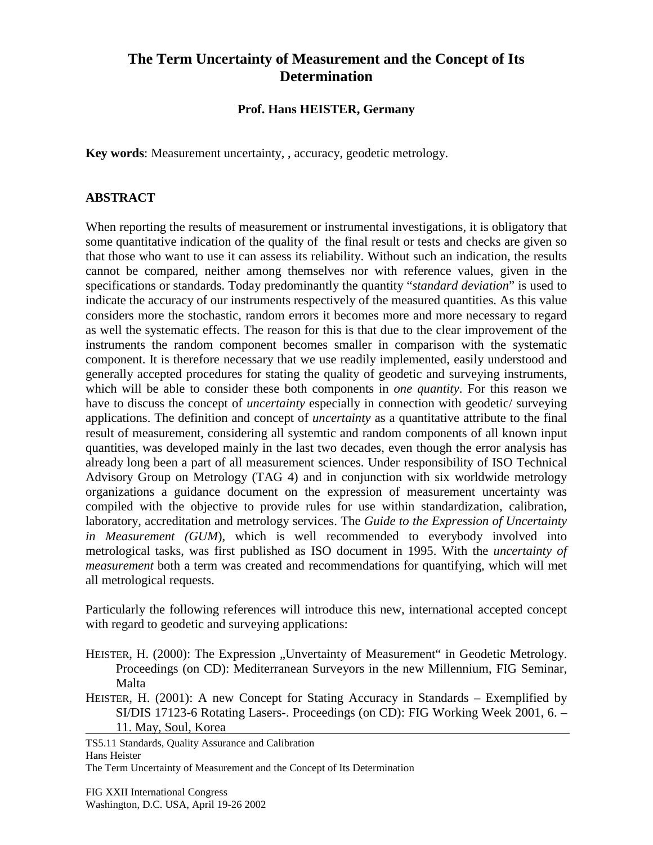# **The Term Uncertainty of Measurement and the Concept of Its Determination**

#### **Prof. Hans HEISTER, Germany**

**Key words**: Measurement uncertainty, , accuracy, geodetic metrology.

#### **ABSTRACT**

When reporting the results of measurement or instrumental investigations, it is obligatory that some quantitative indication of the quality of the final result or tests and checks are given so that those who want to use it can assess its reliability. Without such an indication, the results cannot be compared, neither among themselves nor with reference values, given in the specifications or standards. Today predominantly the quantity "*standard deviation*" is used to indicate the accuracy of our instruments respectively of the measured quantities. As this value considers more the stochastic, random errors it becomes more and more necessary to regard as well the systematic effects. The reason for this is that due to the clear improvement of the instruments the random component becomes smaller in comparison with the systematic component. It is therefore necessary that we use readily implemented, easily understood and generally accepted procedures for stating the quality of geodetic and surveying instruments, which will be able to consider these both components in *one quantity*. For this reason we have to discuss the concept of *uncertainty* especially in connection with geodetic/ surveying applications. The definition and concept of *uncertainty* as a quantitative attribute to the final result of measurement, considering all systemtic and random components of all known input quantities, was developed mainly in the last two decades, even though the error analysis has already long been a part of all measurement sciences. Under responsibility of ISO Technical Advisory Group on Metrology (TAG 4) and in conjunction with six worldwide metrology organizations a guidance document on the expression of measurement uncertainty was compiled with the objective to provide rules for use within standardization, calibration, laboratory, accreditation and metrology services. The *Guide to the Expression of Uncertainty in Measurement (GUM*), which is well recommended to everybody involved into metrological tasks, was first published as ISO document in 1995. With the *uncertainty of measurement* both a term was created and recommendations for quantifying, which will met all metrological requests.

Particularly the following references will introduce this new, international accepted concept with regard to geodetic and surveying applications:

- HEISTER, H. (2000): The Expression "Unvertainty of Measurement" in Geodetic Metrology. Proceedings (on CD): Mediterranean Surveyors in the new Millennium, FIG Seminar, Malta
- HEISTER, H. (2001): A new Concept for Stating Accuracy in Standards Exemplified by SI/DIS 17123-6 Rotating Lasers-. Proceedings (on CD): FIG Working Week 2001, 6. – 11. May, Soul, Korea

TS5.11 Standards, Quality Assurance and Calibration Hans Heister The Term Uncertainty of Measurement and the Concept of Its Determination